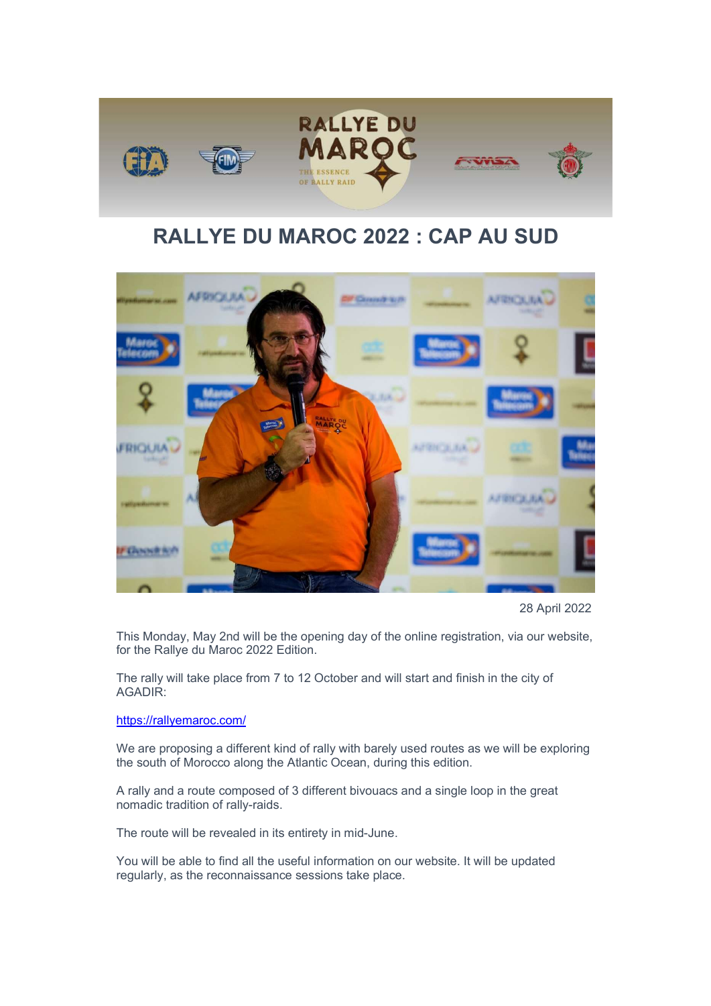

## RALLYE DU MAROC 2022 : CAP AU SUD



28 April 2022

This Monday, May 2nd will be the opening day of the online registration, via our website, for the Rallye du Maroc 2022 Edition.

The rally will take place from 7 to 12 October and will start and finish in the city of AGADIR:

https://rallyemaroc.com/

We are proposing a different kind of rally with barely used routes as we will be exploring the south of Morocco along the Atlantic Ocean, during this edition.

A rally and a route composed of 3 different bivouacs and a single loop in the great nomadic tradition of rally-raids.

The route will be revealed in its entirety in mid-June.

You will be able to find all the useful information on our website. It will be updated regularly, as the reconnaissance sessions take place.